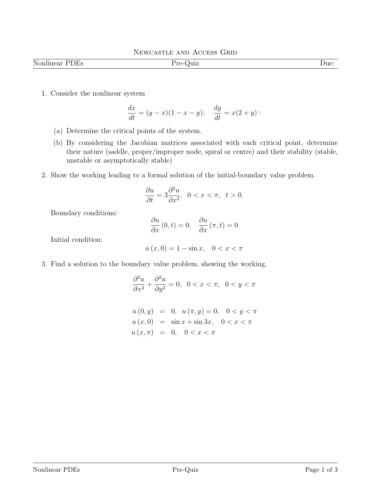| Nonlinear<br>り比り | ் –<br>$\sim$ $\sim$<br>. . | $\Delta$ ue: |
|------------------|-----------------------------|--------------|

1. Consider the nonlinear system

$$
\frac{dx}{dt} = (y - x)(1 - x - y); \quad \frac{dy}{dt} = x(2 + y):
$$

- (a) Determine the critical points of the system.
- (b) By considering the Jacobian matrices associated with each critical point, determine their nature (saddle, proper/improper node, spiral or centre) and their stability (stable, unstable or asymptotically stable)
- 2. Show the working leading to a formal solution of the initial-boundary value problem.

$$
\frac{\partial u}{\partial t} = 3 \frac{\partial^2 u}{\partial x^2}, \ \ 0 < x < \pi, \ \ t > 0.
$$

Boundary conditions:

$$
\frac{\partial u}{\partial x}(0,t) = 0, \quad \frac{\partial u}{\partial x}(\pi,t) = 0
$$

Initial condition:

$$
u(x,0) = 1 - \sin x, \quad 0 < x < \pi
$$

3. Find a solution to the boundary value problem, showing the working.

$$
\frac{\partial^2 u}{\partial x^2} + \frac{\partial^2 u}{\partial y^2} = 0, \ \ 0 < x < \pi, \ \ 0 < y < \pi
$$

$$
u(0, y) = 0, u(\pi, y) = 0, 0 < y < \pi
$$
  
\n
$$
u(x, 0) = \sin x + \sin 3x, 0 < x < \pi
$$
  
\n
$$
u(x, \pi) = 0, 0 < x < \pi
$$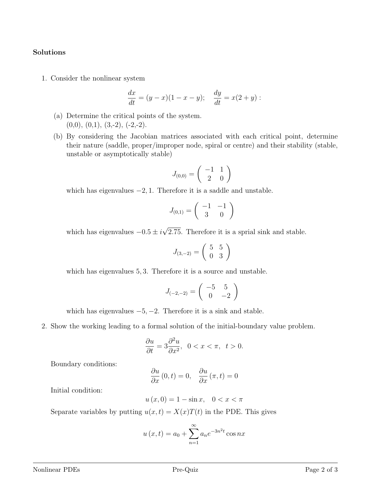## Solutions

1. Consider the nonlinear system

$$
\frac{dx}{dt} = (y - x)(1 - x - y); \quad \frac{dy}{dt} = x(2 + y):
$$

- (a) Determine the critical points of the system.  $(0,0), (0,1), (3,-2), (-2,-2).$
- (b) By considering the Jacobian matrices associated with each critical point, determine their nature (saddle, proper/improper node, spiral or centre) and their stability (stable, unstable or asymptotically stable)

$$
J_{(0,0)} = \left(\begin{array}{cc} -1 & 1\\ 2 & 0 \end{array}\right)
$$

which has eigenvalues  $-2$ , 1. Therefore it is a saddle and unstable.

$$
J_{(0,1)}=\left(\begin{array}{cc} -1 & -1\\ 3 & 0 \end{array}\right)
$$

which has eigenvalues  $-0.5 \pm i$ √ 2.75. Therefore it is a sprial sink and stable.

$$
J_{(3,-2)} = \left(\begin{array}{cc} 5 & 5\\ 0 & 3 \end{array}\right)
$$

which has eigenvalues 5, 3. Therefore it is a source and unstable.

$$
J_{(-2,-2)} = \left(\begin{array}{cc} -5 & 5\\ 0 & -2 \end{array}\right)
$$

which has eigenvalues  $-5, -2$ . Therefore it is a sink and stable.

2. Show the working leading to a formal solution of the initial-boundary value problem.

$$
\frac{\partial u}{\partial t} = 3 \frac{\partial^2 u}{\partial x^2}, \ \ 0 < x < \pi, \ \ t > 0.
$$

Boundary conditions:

$$
\frac{\partial u}{\partial x}(0,t) = 0, \quad \frac{\partial u}{\partial x}(\pi, t) = 0
$$

Initial condition:

$$
u(x,0) = 1 - \sin x, \quad 0 < x < \pi
$$

Separate variables by putting  $u(x,t) = X(x)T(t)$  in the PDE. This gives

$$
u(x,t) = a_0 + \sum_{n=1}^{\infty} a_n e^{-3n^2 t} \cos nx
$$